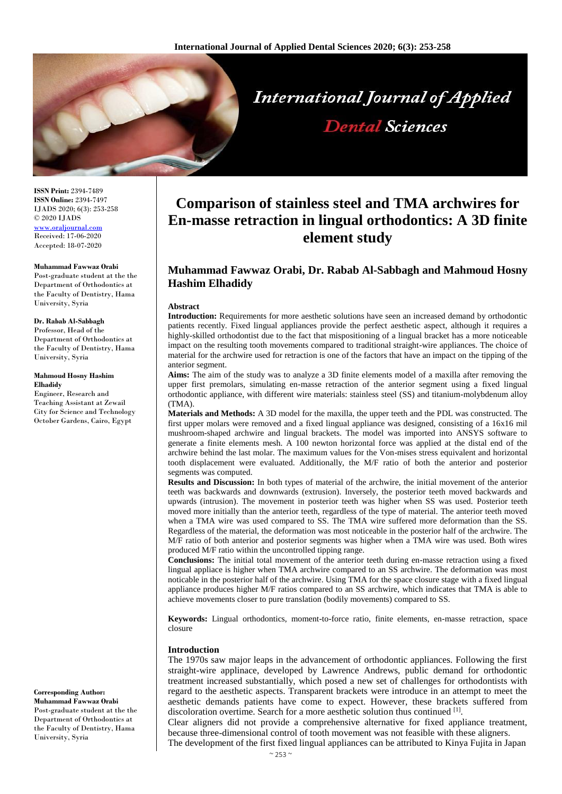

**ISSN Print:** 2394-7489 **ISSN Online:** 2394-7497 IJADS 2020; 6(3): 253-258 © 2020 IJADS [www.oraljournal.com](http://www.oraljournal.com/) Received: 17-06-2020 Accepted: 18-07-2020

#### **Muhammad Fawwaz Orabi**

Post-graduate student at the the Department of Orthodontics at the Faculty of Dentistry, Hama University, Syria

#### **Dr. Rabab Al-Sabbagh**

Professor, Head of the Department of Orthodontics at the Faculty of Dentistry, Hama University, Syria

#### **Mahmoud Hosny Hashim Elhadidy**

Engineer, Research and Teaching Assistant at Zewail City for Science and Technology October Gardens, Cairo, Egypt

#### **Corresponding Author:**

**Muhammad Fawwaz Orabi** Post-graduate student at the the Department of Orthodontics at the Faculty of Dentistry, Hama University, Syria

# **Comparison of stainless steel and TMA archwires for En-masse retraction in lingual orthodontics: A 3D finite element study**

**Dental Sciences** 

# **Muhammad Fawwaz Orabi, Dr. Rabab Al-Sabbagh and Mahmoud Hosny Hashim Elhadidy**

#### **Abstract**

**Introduction:** Requirements for more aesthetic solutions have seen an increased demand by orthodontic patients recently. Fixed lingual appliances provide the perfect aesthetic aspect, although it requires a highly-skilled orthodontist due to the fact that mispositioning of a lingual bracket has a more noticeable impact on the resulting tooth movements compared to traditional straight-wire appliances. The choice of material for the archwire used for retraction is one of the factors that have an impact on the tipping of the anterior segment.

**Aims:** The aim of the study was to analyze a 3D finite elements model of a maxilla after removing the upper first premolars, simulating en-masse retraction of the anterior segment using a fixed lingual orthodontic appliance, with different wire materials: stainless steel (SS) and titanium-molybdenum alloy (TMA).

**Materials and Methods:** A 3D model for the maxilla, the upper teeth and the PDL was constructed. The first upper molars were removed and a fixed lingual appliance was designed, consisting of a 16x16 mil mushroom-shaped archwire and lingual brackets. The model was imported into ANSYS software to generate a finite elements mesh. A 100 newton horizontal force was applied at the distal end of the archwire behind the last molar. The maximum values for the Von-mises stress equivalent and horizontal tooth displacement were evaluated. Additionally, the M/F ratio of both the anterior and posterior segments was computed.

**Results and Discussion:** In both types of material of the archwire, the initial movement of the anterior teeth was backwards and downwards (extrusion). Inversely, the posterior teeth moved backwards and upwards (intrusion). The movement in posterior teeth was higher when SS was used. Posterior teeth moved more initially than the anterior teeth, regardless of the type of material. The anterior teeth moved when a TMA wire was used compared to SS. The TMA wire suffered more deformation than the SS. Regardless of the material, the deformation was most noticeable in the posterior half of the archwire. The M/F ratio of both anterior and posterior segments was higher when a TMA wire was used. Both wires produced M/F ratio within the uncontrolled tipping range.

**Conclusions:** The initial total movement of the anterior teeth during en-masse retraction using a fixed lingual appliace is higher when TMA archwire compared to an SS archwire. The deformation was most noticable in the posterior half of the archwire. Using TMA for the space closure stage with a fixed lingual appliance produces higher M/F ratios compared to an SS archwire, which indicates that TMA is able to achieve movements closer to pure translation (bodily movements) compared to SS.

**Keywords:** Lingual orthodontics, moment-to-force ratio, finite elements, en-masse retraction, space closure

#### **Introduction**

The 1970s saw major leaps in the advancement of orthodontic appliances. Following the first straight-wire applinace, developed by Lawrence Andrews, public demand for orthodontic treatment increased substantially, which posed a new set of challenges for orthodontists with regard to the aesthetic aspects. Transparent brackets were introduce in an attempt to meet the aesthetic demands patients have come to expect. However, these brackets suffered from discoloration overtime. Search for a more aesthetic solution thus continued [1].

Clear aligners did not provide a comprehensive alternative for fixed appliance treatment, because three-dimensional control of tooth movement was not feasible with these aligners.

The development of the first fixed lingual appliances can be attributed to Kinya Fujita in Japan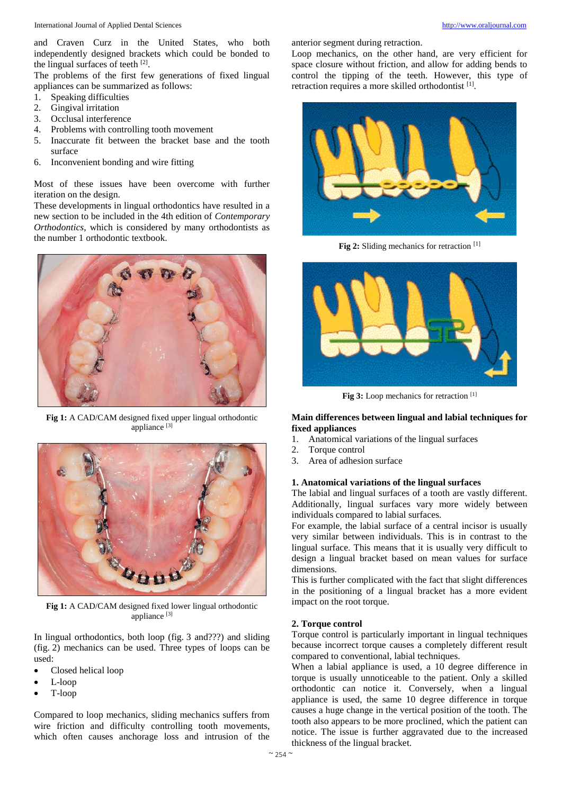and Craven Curz in the United States, who both independently designed brackets which could be bonded to the lingual surfaces of teeth  $[2]$ .

The problems of the first few generations of fixed lingual appliances can be summarized as follows:

- 1. Speaking difficulties
- 2. Gingival irritation
- 3. Occlusal interference
- 4. Problems with controlling tooth movement
- 5. Inaccurate fit between the bracket base and the tooth surface
- 6. Inconvenient bonding and wire fitting

Most of these issues have been overcome with further iteration on the design.

These developments in lingual orthodontics have resulted in a new section to be included in the 4th edition of *Contemporary Orthodontics*, which is considered by many orthodontists as the number 1 orthodontic textbook.



**Fig 1:** A CAD/CAM designed fixed upper lingual orthodontic appliance<sup>[3]</sup>



**Fig 1:** A CAD/CAM designed fixed lower lingual orthodontic appliance [3]

In lingual orthodontics, both loop (fig. 3 and???) and sliding (fig. 2) mechanics can be used. Three types of loops can be used:

- Closed helical loop
- L-loop
- T-loop

Compared to loop mechanics, sliding mechanics suffers from wire friction and difficulty controlling tooth movements, which often causes anchorage loss and intrusion of the anterior segment during retraction.

Loop mechanics, on the other hand, are very efficient for space closure without friction, and allow for adding bends to control the tipping of the teeth. However, this type of retraction requires a more skilled orthodontist<sup>[1]</sup>.



**Fig 2:** Sliding mechanics for retraction [1]



Fig 3: Loop mechanics for retraction<sup>[1]</sup>

# **Main differences between lingual and labial techniques for fixed appliances**

- 1. Anatomical variations of the lingual surfaces
- 2. Torque control
- 3. Area of adhesion surface

# **1. Anatomical variations of the lingual surfaces**

The labial and lingual surfaces of a tooth are vastly different. Additionally, lingual surfaces vary more widely between individuals compared to labial surfaces.

For example, the labial surface of a central incisor is usually very similar between individuals. This is in contrast to the lingual surface. This means that it is usually very difficult to design a lingual bracket based on mean values for surface dimensions.

This is further complicated with the fact that slight differences in the positioning of a lingual bracket has a more evident impact on the root torque.

#### **2. Torque control**

Torque control is particularly important in lingual techniques because incorrect torque causes a completely different result compared to conventional, labial techniques.

When a labial appliance is used, a 10 degree difference in torque is usually unnoticeable to the patient. Only a skilled orthodontic can notice it. Conversely, when a lingual appliance is used, the same 10 degree difference in torque causes a huge change in the vertical position of the tooth. The tooth also appears to be more proclined, which the patient can notice. The issue is further aggravated due to the increased thickness of the lingual bracket.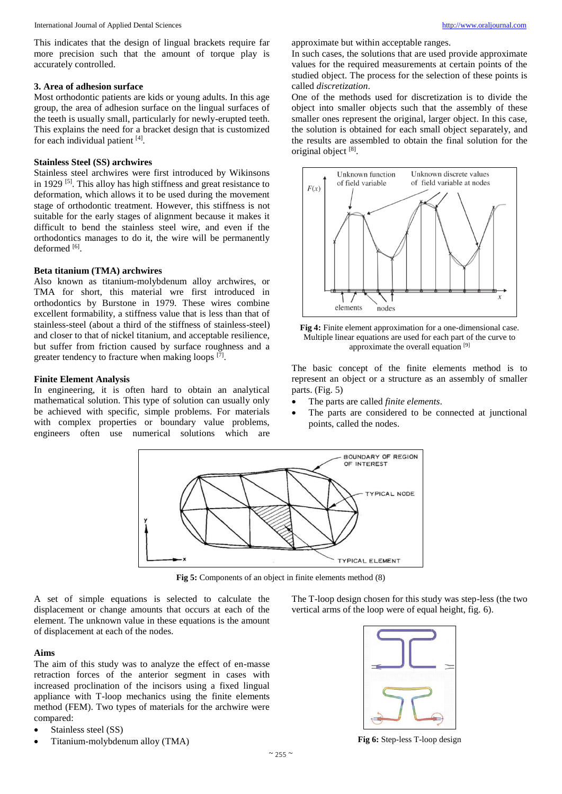This indicates that the design of lingual brackets require far more precision such that the amount of torque play is accurately controlled.

#### **3. Area of adhesion surface**

Most orthodontic patients are kids or young adults. In this age group, the area of adhesion surface on the lingual surfaces of the teeth is usually small, particularly for newly-erupted teeth. This explains the need for a bracket design that is customized for each individual patient [4].

# **Stainless Steel (SS) archwires**

Stainless steel archwires were first introduced by Wikinsons in 1929 <sup>[5]</sup>. This alloy has high stiffness and great resistance to deformation, which allows it to be used during the movement stage of orthodontic treatment. However, this stiffness is not suitable for the early stages of alignment because it makes it difficult to bend the stainless steel wire, and even if the orthodontics manages to do it, the wire will be permanently deformed [6].

#### **Beta titanium (TMA) archwires**

Also known as titanium-molybdenum alloy archwires, or TMA for short, this material wre first introduced in orthodontics by Burstone in 1979. These wires combine excellent formability, a stiffness value that is less than that of stainless-steel (about a third of the stiffness of stainless-steel) and closer to that of nickel titanium, and acceptable resilience, but suffer from friction caused by surface roughness and a greater tendency to fracture when making loops [7].

# **Finite Element Analysis**

In engineering, it is often hard to obtain an analytical mathematical solution. This type of solution can usually only be achieved with specific, simple problems. For materials with complex properties or boundary value problems, engineers often use numerical solutions which are approximate but within acceptable ranges.

In such cases, the solutions that are used provide approximate values for the required measurements at certain points of the studied object. The process for the selection of these points is called *discretization*.

One of the methods used for discretization is to divide the object into smaller objects such that the assembly of these smaller ones represent the original, larger object. In this case, the solution is obtained for each small object separately, and the results are assembled to obtain the final solution for the original object [8].





The basic concept of the finite elements method is to represent an object or a structure as an assembly of smaller parts. (Fig. 5)

- The parts are called *finite elements*.
- The parts are considered to be connected at junctional points, called the nodes.



**Fig 5:** Components of an object in finite elements method (8)

A set of simple equations is selected to calculate the displacement or change amounts that occurs at each of the element. The unknown value in these equations is the amount of displacement at each of the nodes.

# **Aims**

The aim of this study was to analyze the effect of en-masse retraction forces of the anterior segment in cases with increased proclination of the incisors using a fixed lingual appliance with T-loop mechanics using the finite elements method (FEM). Two types of materials for the archwire were compared:

- Stainless steel (SS)
- Titanium-molybdenum alloy (TMA)

The T-loop design chosen for this study was step-less (the two vertical arms of the loop were of equal height, fig. 6).



**Fig 6:** Step-less T-loop design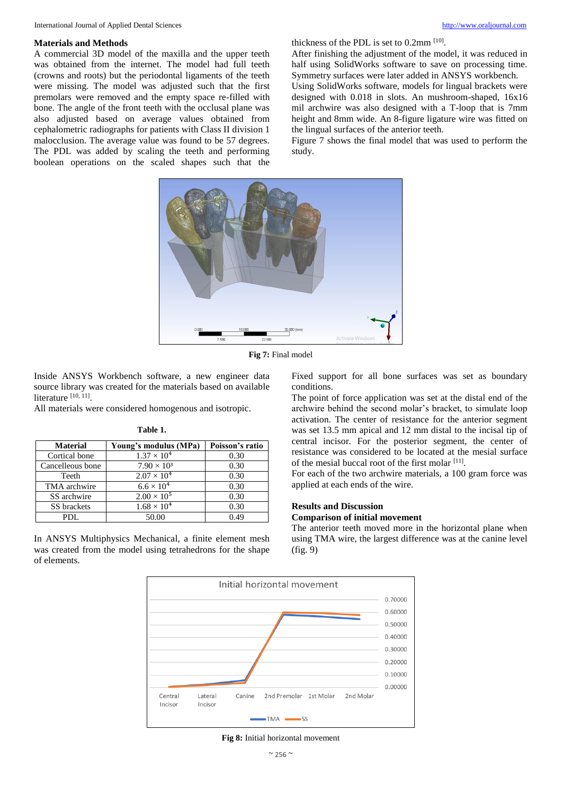#### **Materials and Methods**

A commercial 3D model of the maxilla and the upper teeth was obtained from the internet. The model had full teeth (crowns and roots) but the periodontal ligaments of the teeth were missing. The model was adjusted such that the first premolars were removed and the empty space re-filled with bone. The angle of the front teeth with the occlusal plane was also adjusted based on average values obtained from cephalometric radiographs for patients with Class II division 1 malocclusion. The average value was found to be 57 degrees. The PDL was added by scaling the teeth and performing boolean operations on the scaled shapes such that the thickness of the PDL is set to 0.2mm [10] .

After finishing the adjustment of the model, it was reduced in half using SolidWorks software to save on processing time. Symmetry surfaces were later added in ANSYS workbench.

Using SolidWorks software, models for lingual brackets were designed with 0.018 in slots. An mushroom-shaped, 16x16 mil archwire was also designed with a T-loop that is 7mm height and 8mm wide. An 8-figure ligature wire was fitted on the lingual surfaces of the anterior teeth.

Figure 7 shows the final model that was used to perform the study.



**Fig 7:** Final model

Inside ANSYS Workbench software, a new engineer data source library was created for the materials based on available literature [10, 11].

All materials were considered homogenous and isotropic.

| <b>Material</b>  | Young's modulus (MPa) | Poisson's ratio |
|------------------|-----------------------|-----------------|
| Cortical bone    | $1.37 \times 10^{4}$  | 0.30            |
| Cancelleous bone | $7.90 \times 10^{3}$  | 0.30            |
| Teeth            | $2.07 \times 10^{4}$  | 0.30            |
| TMA archwire     | $6.6 \times 10^{4}$   | 0.30            |
| SS archwire      | $2.00 \times 10^{5}$  | 0.30            |
| SS brackets      | $1.68 \times 10^{4}$  | 0.30            |
| PDL.             | 50.00                 | 0.49            |

**Table 1.**

In ANSYS Multiphysics Mechanical, a finite element mesh was created from the model using tetrahedrons for the shape of elements.

Fixed support for all bone surfaces was set as boundary conditions.

The point of force application was set at the distal end of the archwire behind the second molar's bracket, to simulate loop activation. The center of resistance for the anterior segment was set 13.5 mm apical and 12 mm distal to the incisal tip of central incisor. For the posterior segment, the center of resistance was considered to be located at the mesial surface of the mesial buccal root of the first molar [11].

For each of the two archwire materials, a 100 gram force was applied at each ends of the wire.

#### **Results and Discussion**

# **Comparison of initial movement**

The anterior teeth moved more in the horizontal plane when using TMA wire, the largest difference was at the canine level (fig. 9)



**Fig 8:** Initial horizontal movement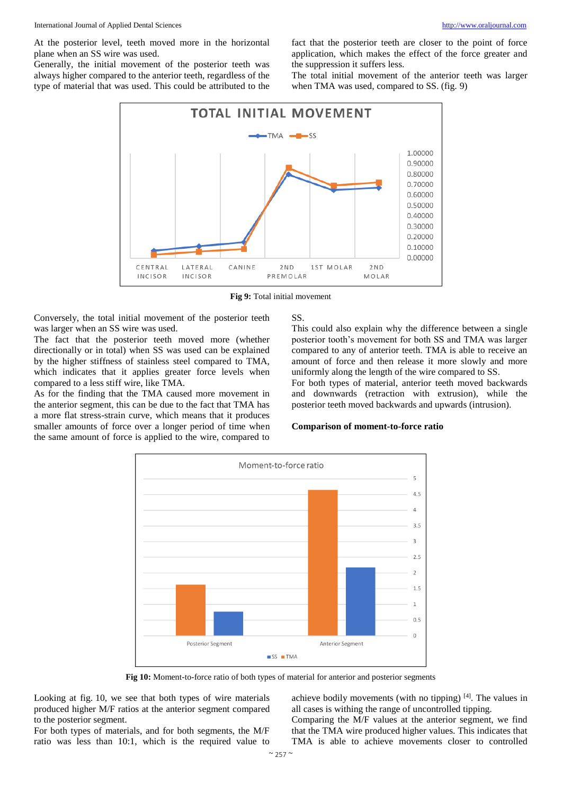At the posterior level, teeth moved more in the horizontal plane when an SS wire was used.

Generally, the initial movement of the posterior teeth was always higher compared to the anterior teeth, regardless of the type of material that was used. This could be attributed to the fact that the posterior teeth are closer to the point of force application, which makes the effect of the force greater and the suppression it suffers less.

The total initial movement of the anterior teeth was larger when TMA was used, compared to SS. (fig. 9)



**Fig 9:** Total initial movement

Conversely, the total initial movement of the posterior teeth was larger when an SS wire was used.

The fact that the posterior teeth moved more (whether directionally or in total) when SS was used can be explained by the higher stiffness of stainless steel compared to TMA, which indicates that it applies greater force levels when compared to a less stiff wire, like TMA.

As for the finding that the TMA caused more movement in the anterior segment, this can be due to the fact that TMA has a more flat stress-strain curve, which means that it produces smaller amounts of force over a longer period of time when the same amount of force is applied to the wire, compared to SS.

This could also explain why the difference between a single posterior tooth's movement for both SS and TMA was larger compared to any of anterior teeth. TMA is able to receive an amount of force and then release it more slowly and more uniformly along the length of the wire compared to SS.

For both types of material, anterior teeth moved backwards and downwards (retraction with extrusion), while the posterior teeth moved backwards and upwards (intrusion).

# **Comparison of moment-to-force ratio**



**Fig 10:** Moment-to-force ratio of both types of material for anterior and posterior segments

Looking at fig. 10, we see that both types of wire materials produced higher M/F ratios at the anterior segment compared to the posterior segment.

For both types of materials, and for both segments, the M/F ratio was less than 10:1, which is the required value to

achieve bodily movements (with no tipping)  $[4]$ . The values in all cases is withing the range of uncontrolled tipping.

Comparing the M/F values at the anterior segment, we find that the TMA wire produced higher values. This indicates that TMA is able to achieve movements closer to controlled